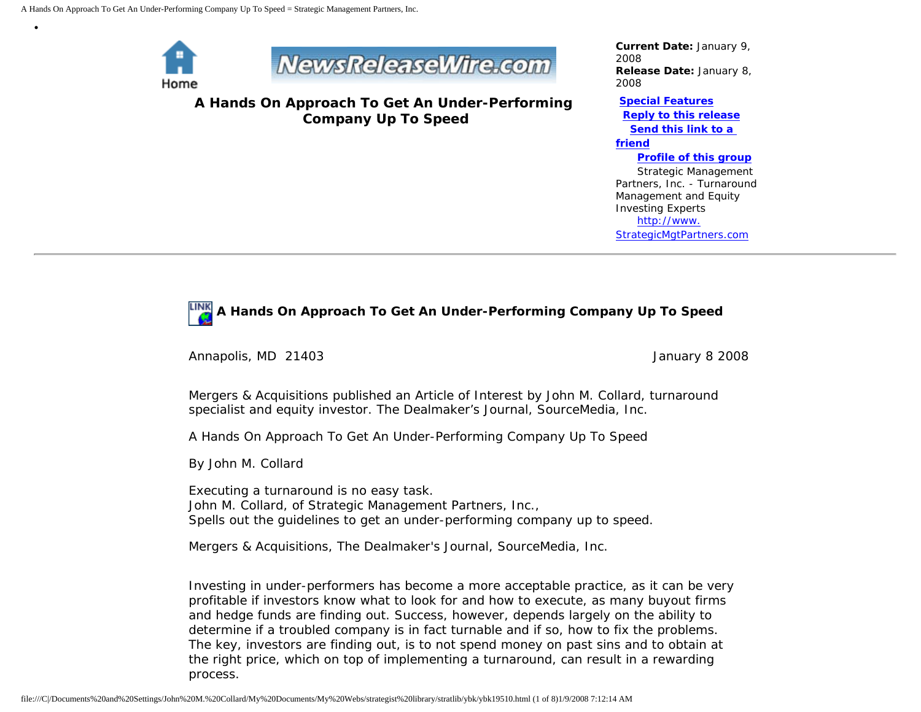

•



**A Hands On Approach To Get An Under-Performing Company Up To Speed**

*Current Date:* January 9, 2008 *Release Date:* January 8, 2008

**[Special Features](javascript:openlittleme() [Reply to this release](file:///C|/Documents%20and%20Settings/John%20M.%20Collard/My%20Documents/My%20Webs/strategist%20library/stratlib/ybk/default.cfm?Action=ReplyRelease&Id=19510)**

 **[Send this link to a](file:///C|/Documents%20and%20Settings/John%20M.%20Collard/My%20Documents/My%20Webs/strategist%20library/stratlib/ybk/default.cfm?Action=SendLink&SendId=19510)  [friend](file:///C|/Documents%20and%20Settings/John%20M.%20Collard/My%20Documents/My%20Webs/strategist%20library/stratlib/ybk/default.cfm?Action=SendLink&SendId=19510)**

> **[Profile of this group](file:///C|/Documents%20and%20Settings/John%20M.%20Collard/My%20Documents/My%20Webs/strategist%20library/stratlib/ybk/default.cfm?Action=Profile&ProfileId=623)** Strategic Management

Partners, Inc. - Turnaround Management and Equity Investing Experts [http://www.](http://www.strategicmgtpartners.com/) [StrategicMgtPartners.com](http://www.strategicmgtpartners.com/)

## **A Hands On Approach To Get An Under-Performing Company Up To Speed**

Annapolis, MD 21403 **January 8 2008 January 8 2008** 

Mergers & Acquisitions published an Article of Interest by John M. Collard, turnaround specialist and equity investor. The Dealmaker's Journal, SourceMedia, Inc.

A Hands On Approach To Get An Under-Performing Company Up To Speed

By John M. Collard

Executing a turnaround is no easy task. John M. Collard, of Strategic Management Partners, Inc., Spells out the guidelines to get an under-performing company up to speed.

Mergers & Acquisitions, The Dealmaker's Journal, SourceMedia, Inc.

Investing in under-performers has become a more acceptable practice, as it can be very profitable if investors know what to look for and how to execute, as many buyout firms and hedge funds are finding out. Success, however, depends largely on the ability to determine if a troubled company is in fact turnable and if so, how to fix the problems. The key, investors are finding out, is to not spend money on past sins and to obtain at the right price, which on top of implementing a turnaround, can result in a rewarding process.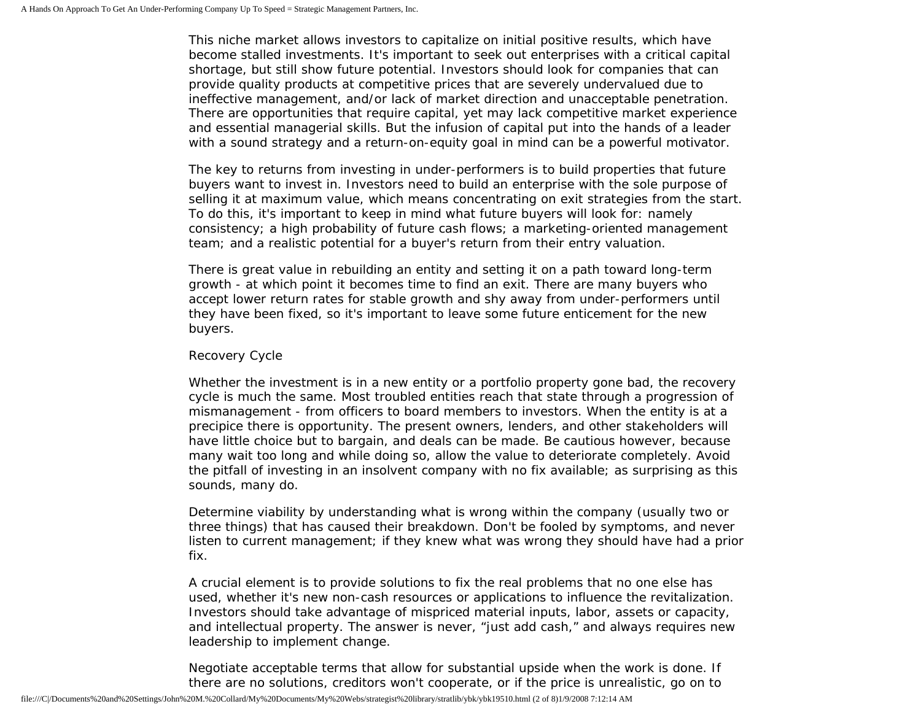This niche market allows investors to capitalize on initial positive results, which have become stalled investments. It's important to seek out enterprises with a critical capital shortage, but still show future potential. Investors should look for companies that can provide quality products at competitive prices that are severely undervalued due to ineffective management, and/or lack of market direction and unacceptable penetration. There are opportunities that require capital, yet may lack competitive market experience and essential managerial skills. But the infusion of capital put into the hands of a leader with a sound strategy and a return-on-equity goal in mind can be a powerful motivator.

The key to returns from investing in under-performers is to build properties that future buyers want to invest in. Investors need to build an enterprise with the sole purpose of selling it at maximum value, which means concentrating on exit strategies from the start. To do this, it's important to keep in mind what future buyers will look for: namely consistency; a high probability of future cash flows; a marketing-oriented management team; and a realistic potential for a buyer's return from their entry valuation.

There is great value in rebuilding an entity and setting it on a path toward long-term growth - at which point it becomes time to find an exit. There are many buyers who accept lower return rates for stable growth and shy away from under-performers until they have been fixed, so it's important to leave some future enticement for the new buyers.

## Recovery Cycle

Whether the investment is in a new entity or a portfolio property gone bad, the recovery cycle is much the same. Most troubled entities reach that state through a progression of mismanagement - from officers to board members to investors. When the entity is at a precipice there is opportunity. The present owners, lenders, and other stakeholders will have little choice but to bargain, and deals can be made. Be cautious however, because many wait too long and while doing so, allow the value to deteriorate completely. Avoid the pitfall of investing in an insolvent company with no fix available; as surprising as this sounds, many do.

Determine viability by understanding what is wrong within the company (usually two or three things) that has caused their breakdown. Don't be fooled by symptoms, and never listen to current management; if they knew what was wrong they should have had a prior fix.

A crucial element is to provide solutions to fix the real problems that no one else has used, whether it's new non-cash resources or applications to influence the revitalization. Investors should take advantage of mispriced material inputs, labor, assets or capacity, and intellectual property. The answer is never, "just add cash," and always requires new leadership to implement change.

Negotiate acceptable terms that allow for substantial upside when the work is done. If there are no solutions, creditors won't cooperate, or if the price is unrealistic, go on to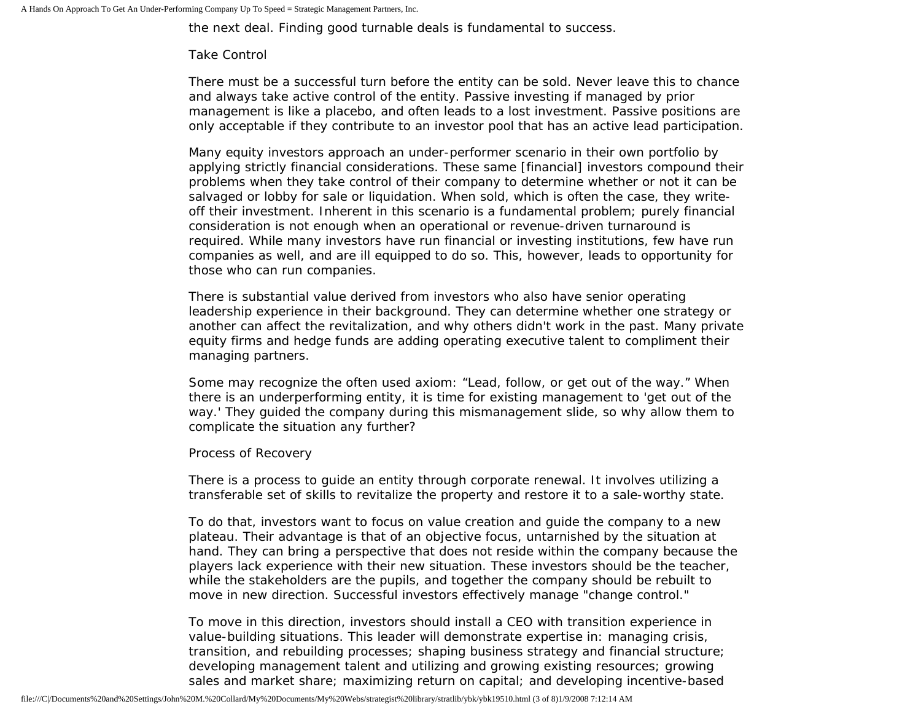the next deal. Finding good turnable deals is fundamental to success.

#### Take Control

There must be a successful turn before the entity can be sold. Never leave this to chance and always take active control of the entity. Passive investing if managed by prior management is like a placebo, and often leads to a lost investment. Passive positions are only acceptable if they contribute to an investor pool that has an active lead participation.

Many equity investors approach an under-performer scenario in their own portfolio by applying strictly financial considerations. These same [financial] investors compound their problems when they take control of their company to determine whether or not it can be salvaged or lobby for sale or liquidation. When sold, which is often the case, they writeoff their investment. Inherent in this scenario is a fundamental problem; purely financial consideration is not enough when an operational or revenue-driven turnaround is required. While many investors have run financial or investing institutions, few have run companies as well, and are ill equipped to do so. This, however, leads to opportunity for those who can run companies.

There is substantial value derived from investors who also have senior operating leadership experience in their background. They can determine whether one strategy or another can affect the revitalization, and why others didn't work in the past. Many private equity firms and hedge funds are adding operating executive talent to compliment their managing partners.

Some may recognize the often used axiom: "Lead, follow, or get out of the way." When there is an underperforming entity, it is time for existing management to 'get out of the way.' They guided the company during this mismanagement slide, so why allow them to complicate the situation any further?

#### Process of Recovery

There is a process to guide an entity through corporate renewal. It involves utilizing a transferable set of skills to revitalize the property and restore it to a sale-worthy state.

To do that, investors want to focus on value creation and guide the company to a new plateau. Their advantage is that of an objective focus, untarnished by the situation at hand. They can bring a perspective that does not reside within the company because the players lack experience with their new situation. These investors should be the teacher, while the stakeholders are the pupils, and together the company should be rebuilt to move in new direction. Successful investors effectively manage "change control."

To move in this direction, investors should install a CEO with transition experience in value-building situations. This leader will demonstrate expertise in: managing crisis, transition, and rebuilding processes; shaping business strategy and financial structure; developing management talent and utilizing and growing existing resources; growing sales and market share; maximizing return on capital; and developing incentive-based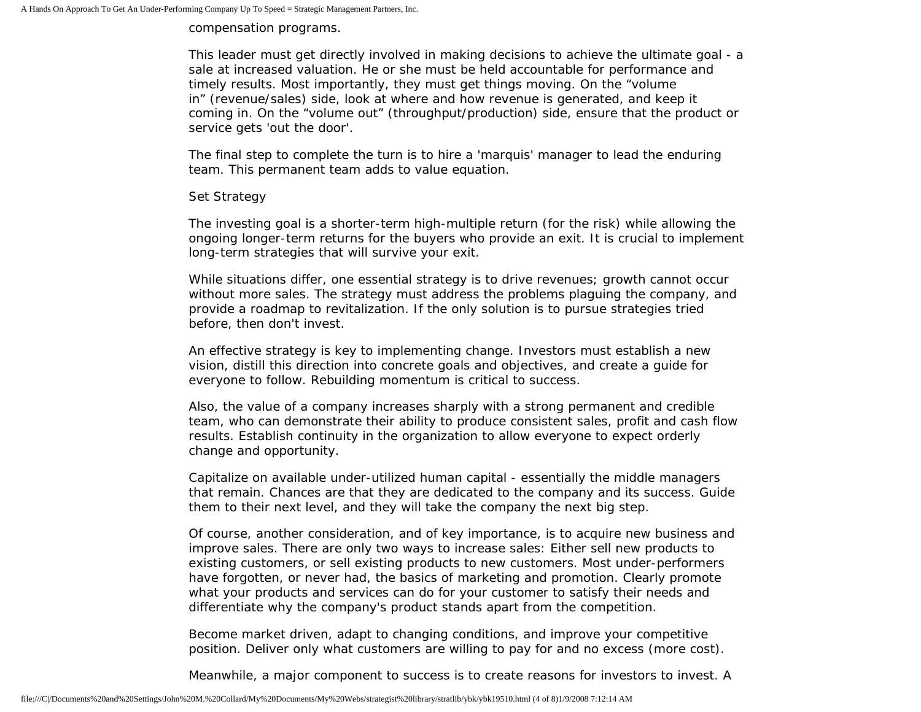compensation programs.

This leader must get directly involved in making decisions to achieve the ultimate goal - a sale at increased valuation. He or she must be held accountable for performance and timely results. Most importantly, they must get things moving. On the "volume in" (revenue/sales) side, look at where and how revenue is generated, and keep it coming in. On the "volume out" (throughput/production) side, ensure that the product or service gets 'out the door'.

The final step to complete the turn is to hire a 'marquis' manager to lead the enduring team. This permanent team adds to value equation.

## Set Strategy

The investing goal is a shorter-term high-multiple return (for the risk) while allowing the ongoing longer-term returns for the buyers who provide an exit. It is crucial to implement long-term strategies that will survive your exit.

While situations differ, one essential strategy is to drive revenues; growth cannot occur without more sales. The strategy must address the problems plaguing the company, and provide a roadmap to revitalization. If the only solution is to pursue strategies tried before, then don't invest.

An effective strategy is key to implementing change. Investors must establish a new vision, distill this direction into concrete goals and objectives, and create a guide for everyone to follow. Rebuilding momentum is critical to success.

Also, the value of a company increases sharply with a strong permanent and credible team, who can demonstrate their ability to produce consistent sales, profit and cash flow results. Establish continuity in the organization to allow everyone to expect orderly change and opportunity.

Capitalize on available under-utilized human capital - essentially the middle managers that remain. Chances are that they are dedicated to the company and its success. Guide them to their next level, and they will take the company the next big step.

Of course, another consideration, and of key importance, is to acquire new business and improve sales. There are only two ways to increase sales: Either sell new products to existing customers, or sell existing products to new customers. Most under-performers have forgotten, or never had, the basics of marketing and promotion. Clearly promote what your products and services can do for your customer to satisfy their needs and differentiate why the company's product stands apart from the competition.

Become market driven, adapt to changing conditions, and improve your competitive position. Deliver only what customers are willing to pay for and no excess (more cost).

Meanwhile, a major component to success is to create reasons for investors to invest. A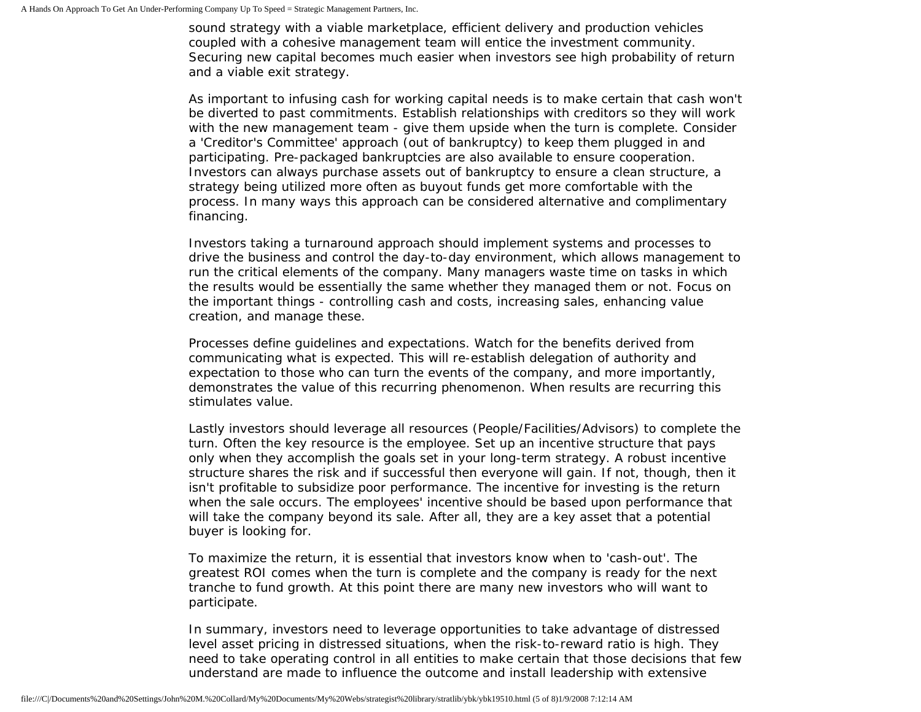sound strategy with a viable marketplace, efficient delivery and production vehicles coupled with a cohesive management team will entice the investment community. Securing new capital becomes much easier when investors see high probability of return and a viable exit strategy.

As important to infusing cash for working capital needs is to make certain that cash won't be diverted to past commitments. Establish relationships with creditors so they will work with the new management team - give them upside when the turn is complete. Consider a 'Creditor's Committee' approach (out of bankruptcy) to keep them plugged in and participating. Pre-packaged bankruptcies are also available to ensure cooperation. Investors can always purchase assets out of bankruptcy to ensure a clean structure, a strategy being utilized more often as buyout funds get more comfortable with the process. In many ways this approach can be considered alternative and complimentary financing.

Investors taking a turnaround approach should implement systems and processes to drive the business and control the day-to-day environment, which allows management to run the critical elements of the company. Many managers waste time on tasks in which the results would be essentially the same whether they managed them or not. Focus on the important things - controlling cash and costs, increasing sales, enhancing value creation, and manage these.

Processes define guidelines and expectations. Watch for the benefits derived from communicating what is expected. This will re-establish delegation of authority and expectation to those who can turn the events of the company, and more importantly, demonstrates the value of this recurring phenomenon. When results are recurring this stimulates value.

Lastly investors should leverage all resources (People/Facilities/Advisors) to complete the turn. Often the key resource is the employee. Set up an incentive structure that pays only when they accomplish the goals set in your long-term strategy. A robust incentive structure shares the risk and if successful then everyone will gain. If not, though, then it isn't profitable to subsidize poor performance. The incentive for investing is the return when the sale occurs. The employees' incentive should be based upon performance that will take the company beyond its sale. After all, they are a key asset that a potential buyer is looking for.

To maximize the return, it is essential that investors know when to 'cash-out'. The greatest ROI comes when the turn is complete and the company is ready for the next tranche to fund growth. At this point there are many new investors who will want to participate.

In summary, investors need to leverage opportunities to take advantage of distressed level asset pricing in distressed situations, when the risk-to-reward ratio is high. They need to take operating control in all entities to make certain that those decisions that few understand are made to influence the outcome and install leadership with extensive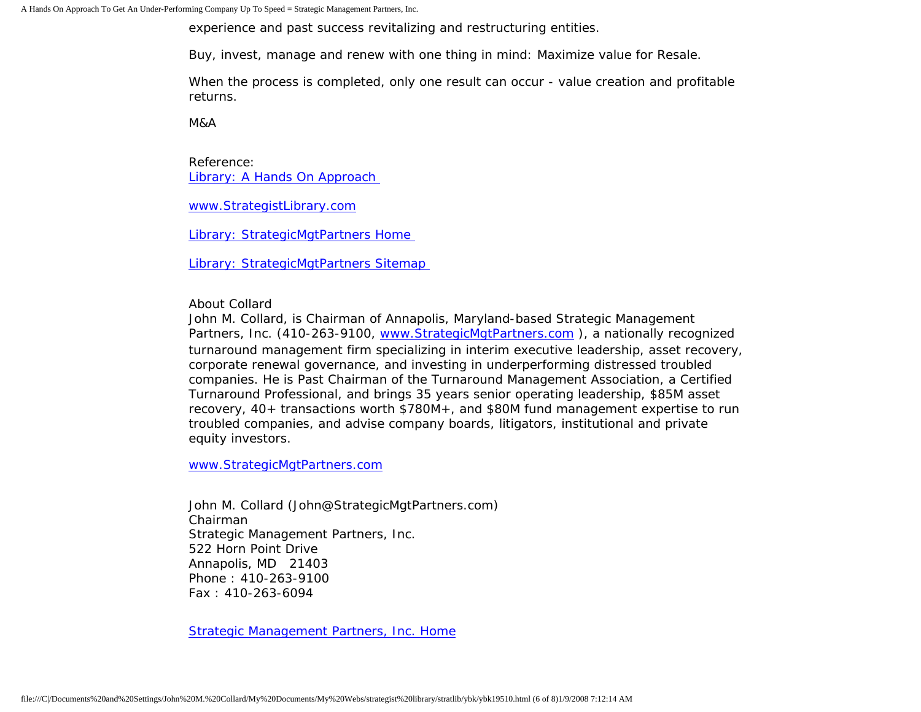A Hands On Approach To Get An Under-Performing Company Up To Speed = Strategic Management Partners, Inc.

experience and past success revitalizing and restructuring entities.

Buy, invest, manage and renew with one thing in mind: Maximize value for Resale.

When the process is completed, only one result can occur - value creation and profitable returns.

M&A

Reference: [Library: A Hands On Approach](http://members.aol.com/stratlib/ma-inv.html)

[www.StrategistLibrary.com](http://www.strategistlibrary.com/)

[Library: StrategicMgtPartners Home](http://members.aol.com/strategist/home.html)

[Library: StrategicMgtPartners Sitemap](http://members.aol.com/strategist/sitemap.html)

About Collard

John M. Collard, is Chairman of Annapolis, Maryland-based Strategic Management Partners, Inc. (410-263-9100, www.StrategicMgtPartners.com), a nationally recognized turnaround management firm specializing in interim executive leadership, asset recovery, corporate renewal governance, and investing in underperforming distressed troubled companies. He is Past Chairman of the Turnaround Management Association, a Certified Turnaround Professional, and brings 35 years senior operating leadership, \$85M asset recovery, 40+ transactions worth \$780M+, and \$80M fund management expertise to run troubled companies, and advise company boards, litigators, institutional and private equity investors.

[www.StrategicMgtPartners.com](http://www.strategicmgtpartners.com/)

John M. Collard (John@StrategicMgtPartners.com) Chairman Strategic Management Partners, Inc. 522 Horn Point Drive Annapolis, MD 21403 Phone : 410-263-9100 Fax : 410-263-6094

[Strategic Management Partners, Inc. Home](http://members.aol.com/strategist/home.html)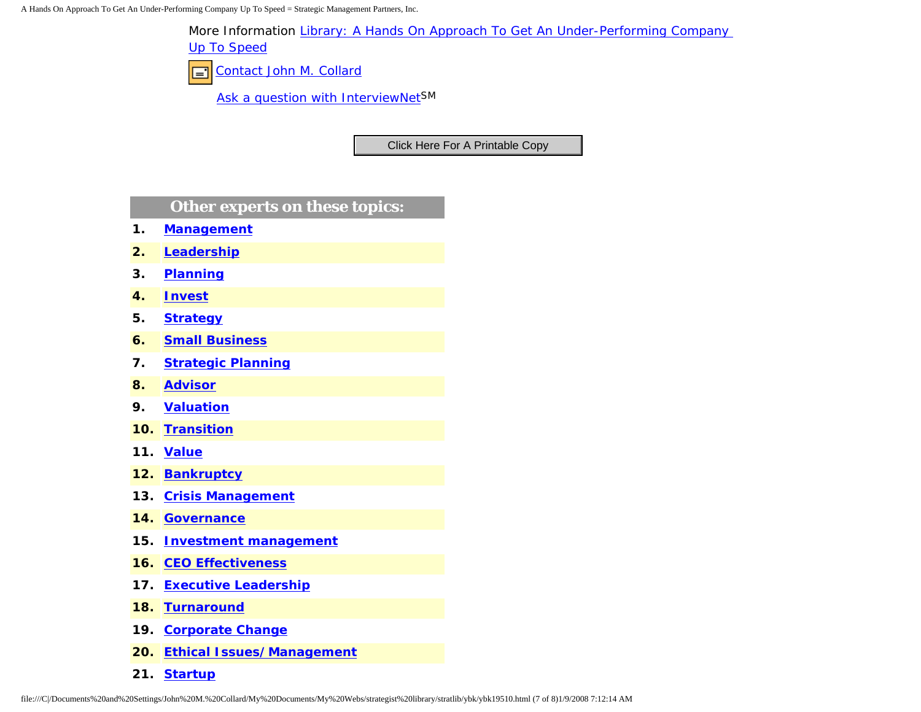A Hands On Approach To Get An Under-Performing Company Up To Speed = Strategic Management Partners, Inc.

More Information [Library: A Hands On Approach To Get An Under-Performing Company](http://members.aol.com/stratlib/ma-inv.html) 

[Up To Speed](http://members.aol.com/stratlib/ma-inv.html)

[Contact John M. Collard](http://www.expertclick.com/expertClick/contact/default.cfm?Action=ContactExpert&GroupID=1016) ⊟⊺

[Ask a question with InterviewNetS](http://www.expertclick.com/expertClick/contact/default.cfm?GroupID=1016)M

# **Other experts on these topics:**

- **1. [Management](http://www.expertclick.com/search/default.cfm?SearchCriteria=Management)**
- **2. [Leadership](http://www.expertclick.com/search/default.cfm?SearchCriteria=Leadership)**
- **3. [Planning](http://www.expertclick.com/search/default.cfm?SearchCriteria=Planning)**
- **4. [Invest](http://www.expertclick.com/search/default.cfm?SearchCriteria=Invest)**
- **5. [Strategy](http://www.expertclick.com/search/default.cfm?SearchCriteria=Strategy)**
- **6. [Small Business](http://www.expertclick.com/search/default.cfm?SearchCriteria=Small Business)**
- **7. [Strategic Planning](http://www.expertclick.com/search/default.cfm?SearchCriteria=Strategic Planning)**
- **8. [Advisor](http://www.expertclick.com/search/default.cfm?SearchCriteria=Advisor)**
- **9. [Valuation](http://www.expertclick.com/search/default.cfm?SearchCriteria=Valuation)**
- **10. [Transition](http://www.expertclick.com/search/default.cfm?SearchCriteria=Transition)**
- **11. [Value](http://www.expertclick.com/search/default.cfm?SearchCriteria=Value)**
- **12. [Bankruptcy](http://www.expertclick.com/search/default.cfm?SearchCriteria=Bankruptcy)**
- **13. [Crisis Management](http://www.expertclick.com/search/default.cfm?SearchCriteria=Crisis Management)**
- **14. [Governance](http://www.expertclick.com/search/default.cfm?SearchCriteria=Governance)**
- **15. [Investment management](http://www.expertclick.com/search/default.cfm?SearchCriteria=Investment management)**
- **16. [CEO Effectiveness](http://www.expertclick.com/search/default.cfm?SearchCriteria=CEO Effectiveness)**
- **17. [Executive Leadership](http://www.expertclick.com/search/default.cfm?SearchCriteria=Executive Leadership)**
- **18. [Turnaround](http://www.expertclick.com/search/default.cfm?SearchCriteria=Turnaround)**
- **19. [Corporate Change](http://www.expertclick.com/search/default.cfm?SearchCriteria=Corporate Change)**
- **20. [Ethical Issues/Management](http://www.expertclick.com/search/default.cfm?SearchCriteria=Ethical Issues/Management)**
- **21. [Startup](http://www.expertclick.com/search/default.cfm?SearchCriteria=Startup)**